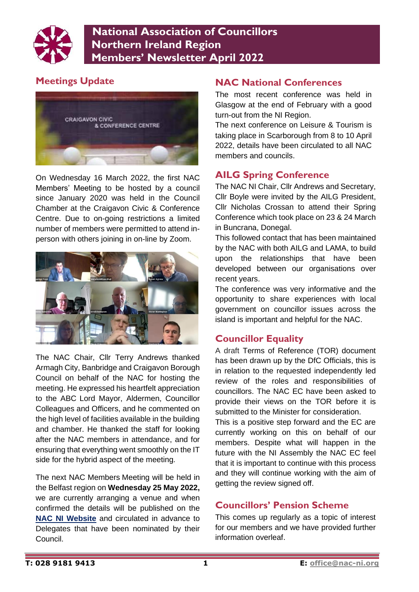

 **National Association of Councillors Northern Ireland Region Members' Newsletter April 2022**

# **Meetings Update**



On Wednesday 16 March 2022, the first NAC Members' Meeting to be hosted by a council since January 2020 was held in the Council Chamber at the Craigavon Civic & Conference Centre. Due to on-going restrictions a limited number of members were permitted to attend inperson with others joining in on-line by Zoom.



The NAC Chair, Cllr Terry Andrews thanked Armagh City, Banbridge and Craigavon Borough Council on behalf of the NAC for hosting the meeting. He expressed his heartfelt appreciation to the ABC Lord Mayor, Aldermen, Councillor Colleagues and Officers, and he commented on the high level of facilities available in the building and chamber. He thanked the staff for looking after the NAC members in attendance, and for ensuring that everything went smoothly on the IT side for the hybrid aspect of the meeting.

The next NAC Members Meeting will be held in the Belfast region on **Wednesday 25 May 2022,** we are currently arranging a venue and when confirmed the details will be published on the **[NAC NI Website](http://www.nac-ni.org/meetings.htm)** and circulated in advance to Delegates that have been nominated by their Council.

### **NAC National Conferences**

The most recent conference was held in Glasgow at the end of February with a good turn-out from the NI Region.

The next conference on Leisure & Tourism is taking place in Scarborough from 8 to 10 April 2022, details have been circulated to all NAC members and councils.

#### **AILG Spring Conference**

The NAC NI Chair, Cllr Andrews and Secretary, Cllr Boyle were invited by the AILG President, Cllr Nicholas Crossan to attend their Spring Conference which took place on 23 & 24 March in Buncrana, Donegal.

This followed contact that has been maintained by the NAC with both AILG and LAMA, to build upon the relationships that have been developed between our organisations over recent years.

The conference was very informative and the opportunity to share experiences with local government on councillor issues across the island is important and helpful for the NAC.

#### **Councillor Equality**

A draft Terms of Reference (TOR) document has been drawn up by the DfC Officials, this is in relation to the requested independently led review of the roles and responsibilities of councillors. The NAC EC have been asked to provide their views on the TOR before it is submitted to the Minister for consideration.

This is a positive step forward and the EC are currently working on this on behalf of our members. Despite what will happen in the future with the NI Assembly the NAC EC feel that it is important to continue with this process and they will continue working with the aim of getting the review signed off.

## **Councillors' Pension Scheme**

This comes up regularly as a topic of interest for our members and we have provided further information overleaf.